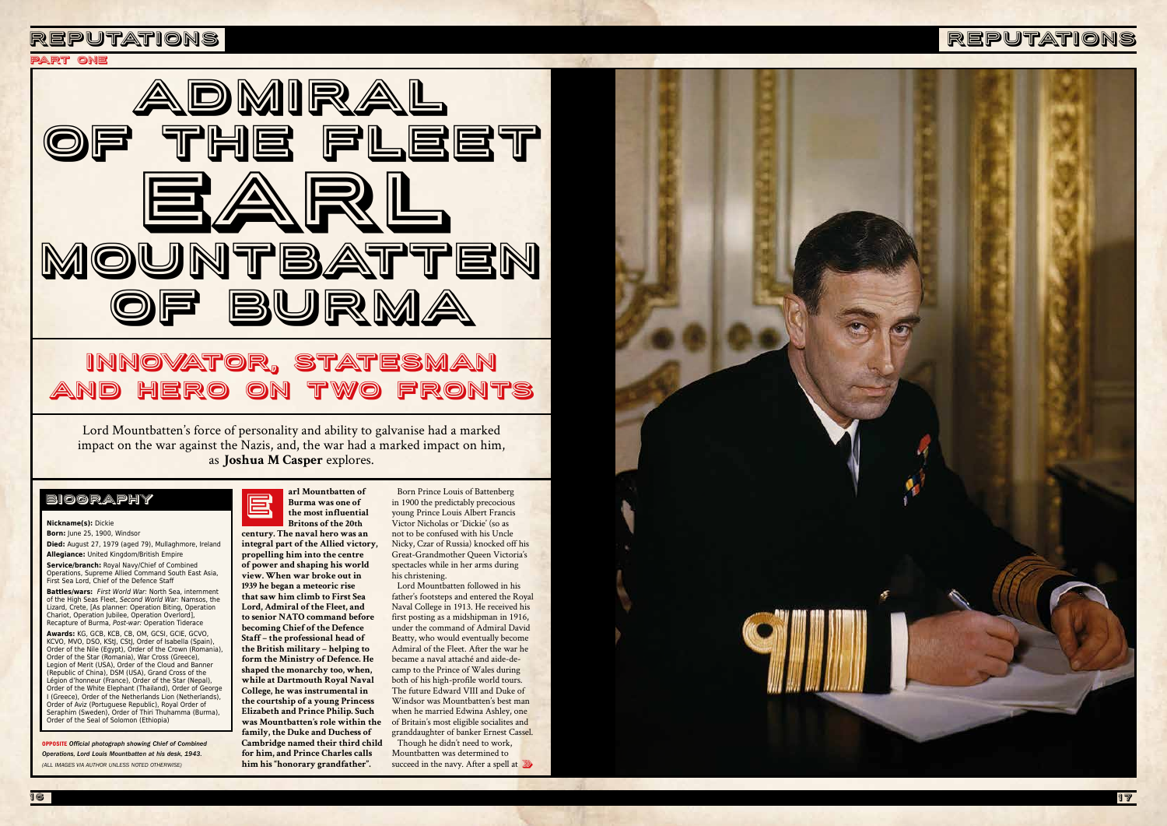



OPPOSITE *Official photograph showing Chief of Combined Operations, Lord Louis Mountbatten at his desk, 1943. (ALL IMAGES VIA AUTHOR UNLESS NOTED OTHERWISE)*

**century. The naval hero was an integral part of the Allied victory, propelling him into the centre of power and shaping his world view. When war broke out in 1939 he began a meteoric rise that saw him climb to First Sea Lord, Admiral of the Fleet, and to senior NATO command before becoming Chief of the Defence Staff – the professional head of the British military – helping to form the Ministry of Defence. He shaped the monarchy too, when, while at Dartmouth Royal Naval College, he was instrumental in the courtship of a young Princess Elizabeth and Prince Philip. Such was Mountbatten's role within the family, the Duke and Duchess of Cambridge named their third child for him, and Prince Charles calls** 

### **arl Mountbatten of Burma was one of the most influential Britons of the 20th** E

**him his "honorary grandfather".**

Lord Mountbatten's force of personality and ability to galvanise had a marked impact on the war against the Nazis, and, the war had a marked impact on him, as **Joshua M Casper** explores.

# Innovator, statesman and hero on two fronts

### **Nickname(s):** Dickie

**Born:** June 25, 1900, Windsor **Died:** August 27, 1979 (aged 79), Mullaghmore, Ireland **Allegiance:** United Kingdom/British Empire **Service/branch:** Royal Navy/Chief of Combined Operations, Supreme Allied Command South East Asia, First Sea Lord, Chief of the Defence Staff

> succeed in the navy. After a spell at 20 Mountbatten was determined to



**Battles/wars:** *First World War:* North Sea, internment of the High Seas Fleet, *Second World War:* Namsos, the Lizard, Crete, [As planner: Operation Biting, Operation Chariot, Operation Jubilee, Operation Overlord], Recapture of Burma, *Post-war:* Operation Tiderace **Awards:** KG, GCB, KCB, CB, OM, GCSI, GCIE, GCVO, KCVO, MVO, DSO, KStJ, CStJ, Order of Isabella (Spain), Order of the Nile (Egypt), Order of the Crown (Romania), Order of the Star (Romania), War Cross (Greece), Legion of Merit (USA), Order of the Cloud and Banner (Republic of China), DSM (USA), Grand Cross of the Légion d'honneur (France), Order of the Star (Nepal), Order of the White Elephant (Thailand), Order of George I (Greece), Order of the Netherlands Lion (Netherlands), Order of Aviz (Portuguese Republic), Royal Order of Seraphim (Sweden), Order of Thiri Thuhamma (Burma), Order of the Seal of Solomon (Ethiopia)

# biography

# PArt one

Born Prince Louis of Battenberg in 1900 the predictably precocious young Prince Louis Albert Francis Victor Nicholas or 'Dickie' (so as not to be confused with his Uncle Nicky, Czar of Russia) knocked off his Great-Grandmother Queen Victoria's spectacles while in her arms during his christening.

Lord Mountbatten followed in his father's footsteps and entered the Royal Naval College in 1913. He received his first posting as a midshipman in 1916, under the command of Admiral David Beatty, who would eventually become Admiral of the Fleet. After the war he became a naval attaché and aide-decamp to the Prince of Wales during both of his high-profile world tours. The future Edward VIII and Duke of Windsor was Mountbatten's best man when he married Edwina Ashley, one of Britain's most eligible socialites and granddaughter of banker Ernest Cassel. Though he didn't need to work,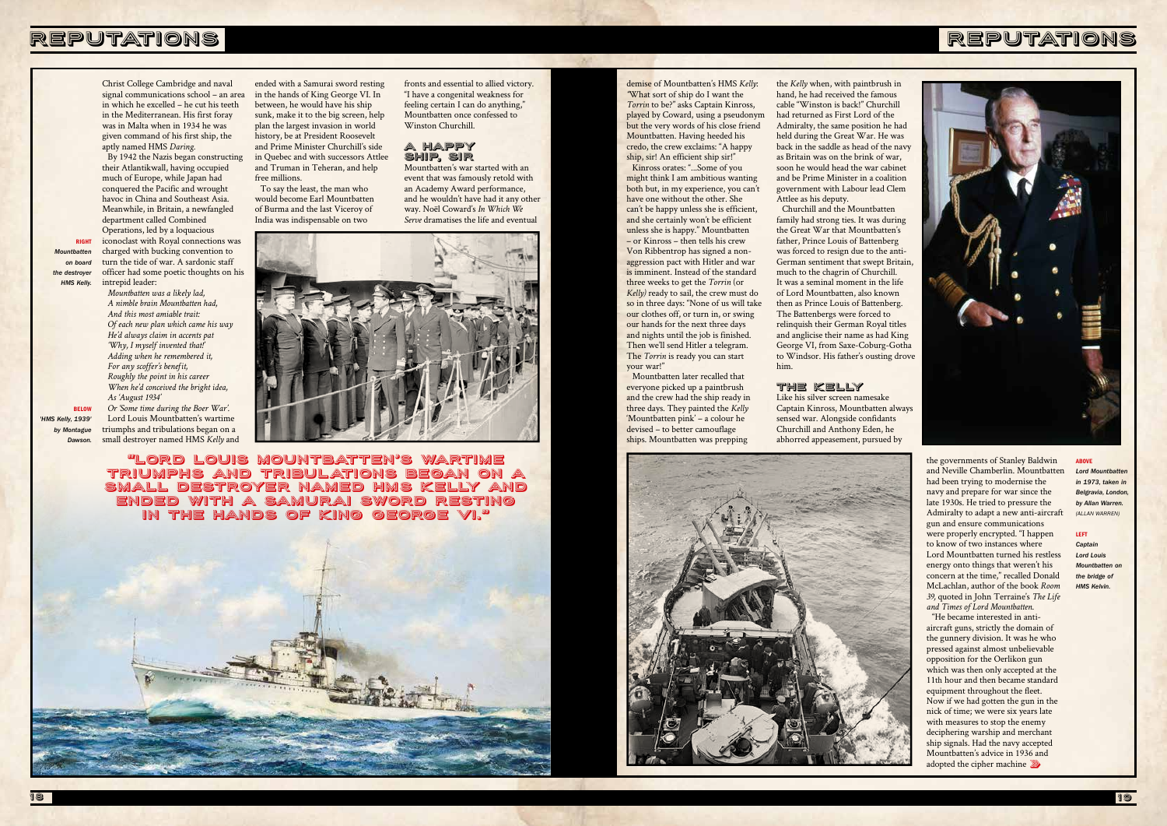# REPUTATIONS



#### ABOVE

*Lord Mountbatten in 1973, taken in Belgravia, London, by Allan Warren. (ALLAN WARREN)*

### LEFT

*Captain Lord Louis Mountbatten on the bridge of HMS Kelvin.* 

demise of Mountbatten's HMS *Kelly*: *"*What sort of ship do I want the *Torrin* to be?" asks Captain Kinross, played by Coward, using a pseudonym but the very words of his close friend Mountbatten. Having heeded his credo, the crew exclaims: "A happy ship, sir! An efficient ship sir!"

Kinross orates: "...Some of you might think I am ambitious wanting both but, in my experience, you can't have one without the other. She can't be happy unless she is efficient, and she certainly won't be efficient unless she is happy." Mountbatten – or Kinross – then tells his crew Von Ribbentrop has signed a nonaggression pact with Hitler and war is imminent. Instead of the standard three weeks to get the *Torrin* (or *Kelly)* ready to sail, the crew must do so in three days: "None of us will take our clothes off, or turn in, or swing our hands for the next three days and nights until the job is finished. Then we'll send Hitler a telegram. The *Torrin* is ready you can start your war!"

Mountbatten later recalled that everyone picked up a paintbrush and the crew had the ship ready in three days. They painted the *Kelly* 'Mountbatten pink' – a colour he devised – to better camouflage ships. Mountbatten was prepping

> "He became interested in antiaircraft guns, strictly the domain of the gunnery division. It was he who pressed against almost unbelievable opposition for the Oerlikon gun which was then only accepted at the 11th hour and then became standard equipment throughout the fleet. Now if we had gotten the gun in the nick of time; we were six years late with measures to stop the enemy deciphering warship and merchant ship signals. Had the navy accepted Mountbatten's advice in 1936 and adopted the cipher machine  $\sqrt[3]{\mathbb{Z}}$

the *Kelly* when, with paintbrush in hand, he had received the famous cable "Winston is back!" Churchill had returned as First Lord of the Admiralty, the same position he had held during the Great War. He was back in the saddle as head of the navy as Britain was on the brink of war, soon he would head the war cabinet and be Prime Minister in a coalition government with Labour lead Clem Attlee as his deputy.

Churchill and the Mountbatten family had strong ties. It was during the Great War that Mountbatten's father, Prince Louis of Battenberg was forced to resign due to the anti-German sentiment that swept Britain, much to the chagrin of Churchill. It was a seminal moment in the life of Lord Mountbatten, also known then as Prince Louis of Battenberg. The Battenbergs were forced to relinquish their German Royal titles and anglicise their name as had King George VI, from Saxe-Coburg-Gotha to Windsor. His father's ousting drove him.

### THE KELLY

Like his silver screen namesake Captain Kinross, Mountbatten always sensed war. Alongside confidants Churchill and Anthony Eden, he abhorred appeasement, pursued by



the governments of Stanley Baldwin and Neville Chamberlin. Mountbatten had been trying to modernise the navy and prepare for war since the late 1930s. He tried to pressure the Admiralty to adapt a new anti-aircraft gun and ensure communications were properly encrypted. "I happen to know of two instances where Lord Mountbatten turned his restless energy onto things that weren't his concern at the time," recalled Donald McLachlan, author of the book *Room 39,* quoted in John Terraine's *The Life and Times of Lord Mountbatten*.

Christ College Cambridge and naval signal communications school – an area in which he excelled – he cut his teeth in the Mediterranean. His first foray was in Malta when in 1934 he was given command of his first ship, the aptly named HMS *Daring.*

By 1942 the Nazis began constructing their Atlantikwall, having occupied much of Europe, while Japan had conquered the Pacific and wrought havoc in China and Southeast Asia. Meanwhile, in Britain, a newfangled department called Combined

Operations, led by a loquacious iconoclast with Royal connections was charged with bucking convention to turn the tide of war. A sardonic staff officer had some poetic thoughts on his intrepid leader:

*Mountbatten was a likely lad, A nimble brain Mountbatten had, And this most amiable trait: Of each new plan which came his way He'd always claim in accents pat 'Why, I myself invented that!' Adding when he remembered it, For any scoffer's benefit, Roughly the point in his career When he'd conceived the bright idea, As 'August 1934'*

*Or 'Some time during the Boer War'.* Lord Louis Mountbatten's wartime triumphs and tribulations began on a small destroyer named HMS *Kelly* and

"Lord Louis Mountbatten's wartime triumphs and tribulations began on a small destroyer named HMS Kelly and ended with a Samurai sword resting in the hands of King George VI."



ended with a Samurai sword resting in the hands of King George VI. In between, he would have his ship sunk, make it to the big screen, help plan the largest invasion in world history, be at President Roosevelt and Prime Minister Churchill's side in Quebec and with successors Attlee and Truman in Teheran, and help free millions.

To say the least, the man who would become Earl Mountbatten of Burma and the last Viceroy of India was indispensable on two



fronts and essential to allied victory. "I have a congenital weakness for feeling certain I can do anything," Mountbatten once confessed to

Winston Churchill.

A HAPPY SHIP, SIR

Mountbatten's war started with an event that was famously retold with an Academy Award performance, and he wouldn't have had it any other way. Noël Coward's *In Which We Serve* dramatises the life and eventual

RIGHT

*Mountbatten on board the destroyer HMS Kelly.* 

*'HMS Kelly, 1939' by Montague Dawson.*

**BELOW**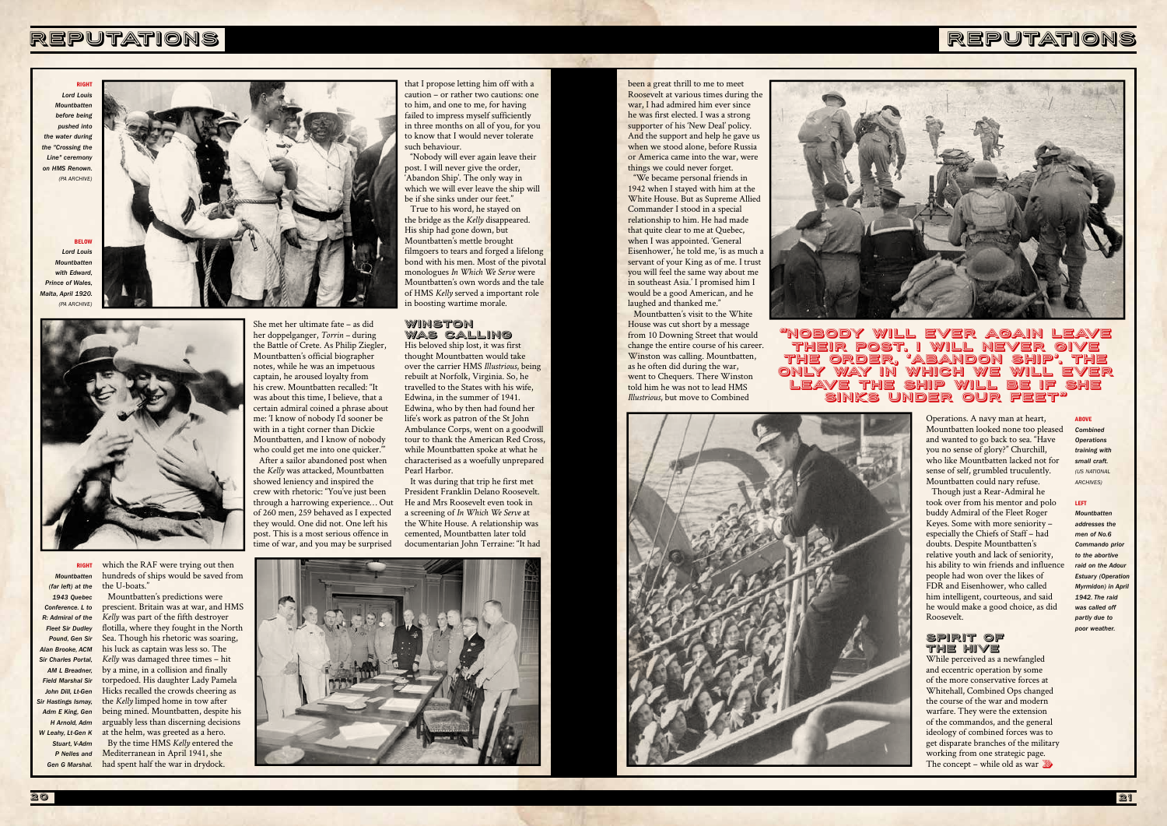RIGHT



*Lord Louis Mountbatten before being pushed into the water during the "Crossing the Line" ceremony on HMS Renown. (PA ARCHIVE)*

*Lord Louis Mountbatten*  with Fdward **Prince of Wales** *Malta, April 1920. (PA ARCHIVE)*

**BELOV** 



RIGHT *Mountbatten (far left) at the 1943 Quebec Conference. L to R: Admiral of the Fleet Sir Dudley Pound, Gen Sir Alan Brooke, ACM Sir Charles Portal, AM L Breadner, Field Marshal Sir John Dill, Lt-Gen Sir Hastings Ismay, Adm E King, Gen H Arnold, Adm W Leahy, Lt-Gen K Stuart, V-Adm P Nelles and* 

# REPUTATIONS

### ABOVE

*Combined Operations training with small craft. (US NATIONAL ARCHIVES)*

#### LEFT

*Mountbatten addresses the men of No.6*  **Commando prior** *to the abortive*  raid on the Adou **Estuary (Operation** *Myrmidon) in April 1942. The raid was called off partly due to poor weather.* 

which the RAF were trying out then hundreds of ships would be saved from the U-boats."

*Gen G Marshal.* had spent half the war in drydock. Mountbatten's predictions were prescient. Britain was at war, and HMS *Kelly* was part of the fifth destroyer flotilla, where they fought in the North Sea. Though his rhetoric was soaring, his luck as captain was less so. The *Kelly* was damaged three times – hit by a mine, in a collision and finally torpedoed. His daughter Lady Pamela Hicks recalled the crowds cheering as the *Kelly* limped home in tow after being mined. Mountbatten, despite his arguably less than discerning decisions at the helm, was greeted as a hero. By the time HMS *Kelly* entered the Mediterranean in April 1941, she

She met her ultimate fate – as did her doppelganger, *Torrin –* during the Battle of Crete. As Philip Ziegler, Mountbatten's official biographer notes, while he was an impetuous captain, he aroused loyalty from his crew. Mountbatten recalled: "It was about this time, I believe, that a certain admiral coined a phrase about me: 'I know of nobody I'd sooner be with in a tight corner than Dickie Mountbatten, and I know of nobody who could get me into one quicker." After a sailor abandoned post when the *Kelly* was attacked, Mountbatten showed leniency and inspired the crew with rhetoric: "You've just been through a harrowing experience… Out of 260 men, 259 behaved as I expected they would. One did not. One left his post. This is a most serious offence in

"We became personal friends in 1942 when I stayed with him at the White House. But as Supreme Allied Commander I stood in a special relationship to him. He had made that quite clear to me at Quebec, when I was appointed. 'General Eisenhower,' he told me, 'is as much a servant of your King as of me. I trust you will feel the same way about me in southeast Asia.' I promised him I would be a good American, and he laughed and thanked me."

time of war, and you may be surprised

that I propose letting him off with a caution – or rather two cautions: one to him, and one to me, for having failed to impress myself sufficiently in three months on all of you, for you to know that I would never tolerate such behaviour.

"Nobody will ever again leave their post. I will never give the order, 'Abandon Ship'. The only way in which we will ever leave the ship will be if she sinks under our feet."

> While perceived as a newfangled and eccentric operation by some of the more conservative forces at Whitehall, Combined Ops changed the course of the war and modern warfare. They were the extension of the commandos, and the general ideology of combined forces was to get disparate branches of the military working from one strategic page. The concept – while old as war  $\mathbb{Z}$

True to his word, he stayed on the bridge as the *Kelly* disappeared. His ship had gone down, but Mountbatten's mettle brought filmgoers to tears and forged a lifelong bond with his men. Most of the pivotal monologues *In Which We Serve* were Mountbatten's own words and the tale of HMS *Kelly* served a important role in boosting wartime morale.

### WINSTON WAS CALLING

His beloved ship lost, it was first thought Mountbatten would take over the carrier HMS *Illustrious*, being rebuilt at Norfolk, Virginia. So, he travelled to the States with his wife, Edwina, in the summer of 1941. Edwina, who by then had found her life's work as patron of the St John Ambulance Corps, went on a goodwill tour to thank the American Red Cross, while Mountbatten spoke at what he characterised as a woefully unprepared Pearl Harbor.

It was during that trip he first met President Franklin Delano Roosevelt. He and Mrs Roosevelt even took in a screening of *In Which We Serve* at the White House. A relationship was cemented, Mountbatten later told documentarian John Terraine: "It had



been a great thrill to me to meet Roosevelt at various times during the war, I had admired him ever since he was first elected. I was a strong supporter of his 'New Deal' policy. And the support and help he gave us when we stood alone, before Russia or America came into the war, were things we could never forget.

Mountbatten's visit to the White House was cut short by a message from 10 Downing Street that would change the entire course of his career. Winston was calling. Mountbatten, as he often did during the war, went to Chequers. There Winston told him he was not to lead HMS *Illustrious*, but move to Combined





Operations. A navy man at heart, Mountbatten looked none too pleased and wanted to go back to sea. "Have you no sense of glory?" Churchill, who like Mountbatten lacked not for sense of self, grumbled truculently. Mountbatten could nary refuse.

Though just a Rear-Admiral he took over from his mentor and polo buddy Admiral of the Fleet Roger Keyes. Some with more seniority – especially the Chiefs of Staff – had doubts. Despite Mountbatten's relative youth and lack of seniority, his ability to win friends and influence people had won over the likes of FDR and Eisenhower, who called him intelligent, courteous, and said he would make a good choice, as did Roosevelt.

### SPIRIT OF THE HIVE

## "Nobody will ever again leave their post. I will never give the order, 'Abandon Ship'. The only way in which we will ever ave the ship will be if sinks under our feet"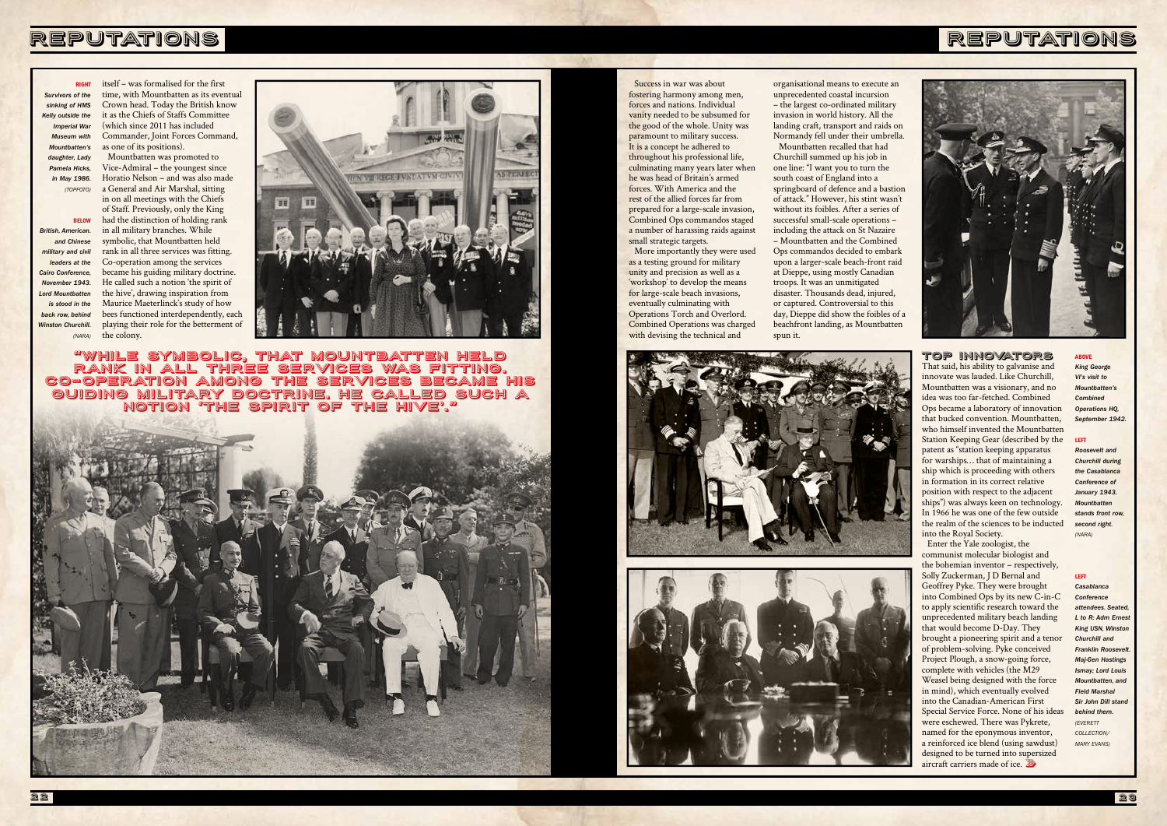# REPUTATIONS







Success in war was about fostering harmony among men, forces and nations. Individual vanity needed to be subsumed for the good of the whole. Unity was paramount to military success. It is a concept he adhered to throughout his professional life, culminating many years later when he was head of Britain's armed forces. With America and the rest of the allied forces far from prepared for a large-scale invasion, Combined Ops commandos staged a number of harassing raids against small strategic targets.

**DIGHT** *Survivors of the sinking of HMS Kelly outside the Imperial War Museum with Mountbatten's daughter, Lady Pamela Hicks, in May 1986. (TOPFOTO)*

> More importantly they were used as a testing ground for military unity and precision as well as a 'workshop' to develop the means for large-scale beach invasions, eventually culminating with Operations Torch and Overlord. Combined Operations was charged with devising the technical and

> > Enter the Yale zoologist, the communist molecular biologist and the bohemian inventor – respectively, Solly Zuckerman, J D Bernal and Geoffrey Pyke. They were brought into Combined Ops by its new C-in-C to apply scientific research toward the unprecedented military beach landing that would become D-Day. They brought a pioneering spirit and a tenor of problem-solving. Pyke conceived Project Plough, a snow-going force, complete with vehicles (the M29 Weasel being designed with the force in mind), which eventually evolved into the Canadian-American First Special Service Force. None of his ideas were eschewed. There was Pykrete, named for the eponymous inventor, a reinforced ice blend (using sawdust) designed to be turned into supersized aircraft carriers made of ice.  $\mathbb{Z}$

TOP INNOVATORS That said, his ability to galvanise and innovate was lauded. Like Churchill, Mountbatten was a visionary, and no idea was too far-fetched. Combined Ops became a laboratory of innovation that bucked convention. Mountbatten, who himself invented the Mountbatten Station Keeping Gear (described by the patent as "station keeping apparatus for warships… that of maintaining a ship which is proceeding with others in formation in its correct relative position with respect to the adjacent ships") was always keen on technology. In 1966 he was one of the few outside the realm of the sciences to be inducted into the Royal Society.

BELOW *British, American. and Chinese military and civil leaders at the Cairo Conference, November 1943. Lord Mountbatten is stood in the back row, behind Winston Churchill. (NARA)* the colony.

#### ABOVE

*King George VI's visit to Mountbatten's Combined Operations HQ, September 1942.*

#### LEFT

*Roosevelt and Churchill during the Casablanca Conference of January 1943. Mountbatten stands front row, second right. (NARA)*

### LEFT

*Casablanca Conference attendees. Seated, L* to R: Adm Frnes *King USN, Winston Churchill and*  **Franklin Roosevel** *Maj-Gen Hastings Ismay; Lord Louis Mountbatten, and Field Marshal Sir John Dill stand behind them. (EVERETT COLLECTION/ MARY EVANS)*

itself – was formalised for the first time, with Mountbatten as its eventual Crown head. Today the British know it as the Chiefs of Staffs Committee (which since 2011 has included Commander, Joint Forces Command, as one of its positions). Mountbatten was promoted to Vice-Admiral – the youngest since Horatio Nelson – and was also made a General and Air Marshal, sitting in on all meetings with the Chiefs

of Staff. Previously, only the King had the distinction of holding rank in all military branches. While symbolic, that Mountbatten held rank in all three services was fitting. Co-operation among the services became his guiding military doctrine. He called such a notion 'the spirit of the hive', drawing inspiration from Maurice Maeterlinck's study of how bees functioned interdependently, each playing their role for the betterment of



"While symbolic, that Mountbatten held rank in all three services was fitting. Co-operation among the services became his guiding military doctrine. He called such a notion 'the spirit of the hive'."



organisational means to execute an unprecedented coastal incursion – the largest co-ordinated military invasion in world history. All the landing craft, transport and raids on Normandy fell under their umbrella. Mountbatten recalled that had Churchill summed up his job in one line: "I want you to turn the south coast of England into a springboard of defence and a bastion of attack." However, his stint wasn't without its foibles. After a series of successful small-scale operations – including the attack on St Nazaire – Mountbatten and the Combined Ops commandos decided to embark upon a larger-scale beach-front raid at Dieppe, using mostly Canadian troops. It was an unmitigated disaster. Thousands dead, injured, or captured. Controversial to this day, Dieppe did show the foibles of a beachfront landing, as Mountbatten spun it.